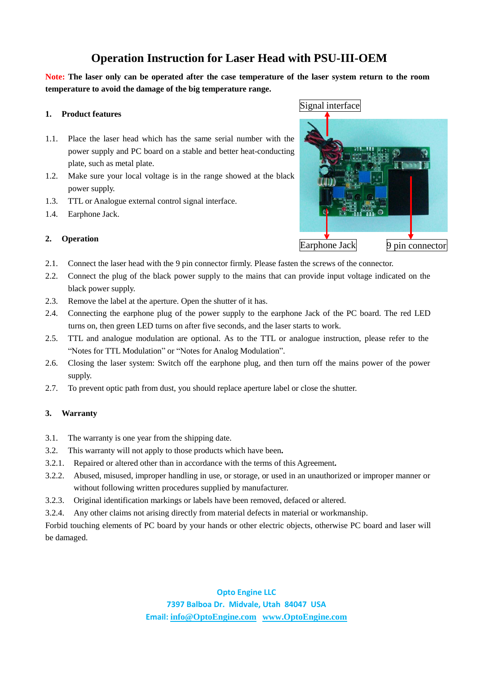# **Operation Instruction for Laser Head with PSU-III-OEM**

Note: The laser only can be operated after the case temperature of the laser system return to the room **temperature to avoid the damage of the big temperature range.**

## **1. Product features**

- 1.1. Place the laser head which has the same serial number with the power supply and PC board on a stable and better heat-conducting plate, such as metal plate.
- 1.2. Make sure your local voltage is in the range showed at the black power supply.
- 1.3. TTL or Analogue external control signal interface.
- 1.4. Earphone Jack.

## **2. Operation**



- 2.1. Connect the laser head with the 9 pin connector firmly. Please fasten the screws of the connector.
- 2.2. Connect the plug of the black power supply to the mains that can provide input voltage indicated on the black power supply.
- 2.3. Remove the label at the aperture. Open the shutter of it has.
- 2.4. Connecting the earphone plug of the power supply to the earphone Jack of the PC board. The red LED turns on, then green LED turns on after five seconds, and the laser starts to work.
- 2.5. TTL and analogue modulation are optional. As to the TTL or analogue instruction, please refer to the "Notes for TTL Modulation" or "Notes for Analog Modulation".
- 2.6. Closing the laser system: Switch off the earphone plug, and then turn off the mains power of the power supply.
- 2.7. To prevent optic path from dust, you should replace aperture label or close the shutter.

#### **3. Warranty**

- 3.1. The warranty is one year from the shipping date.
- 3.2. This warranty will not apply to those products which have been**.**
- 3.2.1. Repaired or altered other than in accordance with the terms of this Agreement**.**
- 3.2.2. Abused, misused, improper handling in use, or storage, or used in an unauthorized or improper manner or without following written procedures supplied by manufacturer.
- 3.2.3. Original identification markings or labels have been removed, defaced or altered.
- 3.2.4. Any other claims not arising directly from material defects in material or workmanship.

Forbid touching elements of PC board by your hands or other electric objects, otherwise PC board and laser will be damaged.

> **Opto Engine LLC 7397 Balboa Dr. Midvale, Utah 84047 USA Email: info@OptoEngine.com www.OptoEngine.com**